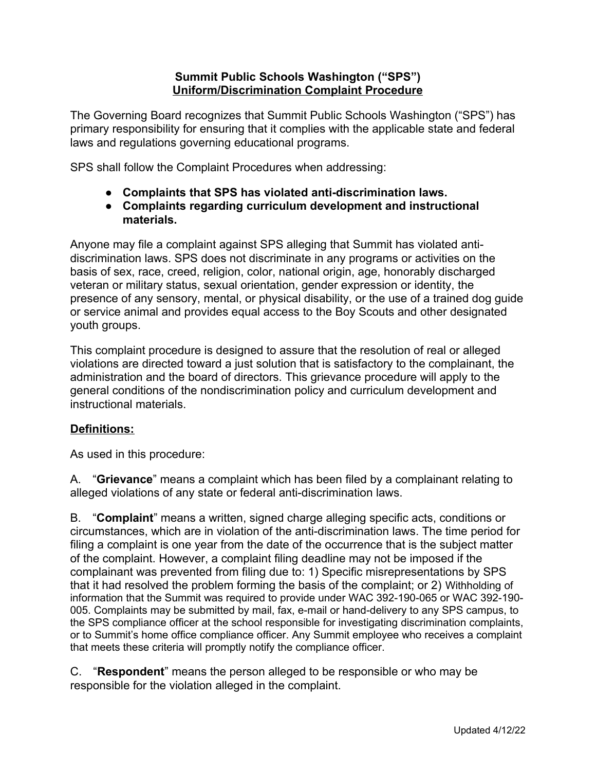### **Summit Public Schools Washington ("SPS") Uniform/Discrimination Complaint Procedure**

The Governing Board recognizes that Summit Public Schools Washington ("SPS") has primary responsibility for ensuring that it complies with the applicable state and federal laws and regulations governing educational programs.

SPS shall follow the Complaint Procedures when addressing:

- **● Complaints that SPS has violated anti-discrimination laws.**
- **● Complaints regarding curriculum development and instructional materials.**

Anyone may file a complaint against SPS alleging that Summit has violated antidiscrimination laws. SPS does not discriminate in any programs or activities on the basis of sex, race, creed, religion, color, national origin, age, honorably discharged veteran or military status, sexual orientation, gender expression or identity, the presence of any sensory, mental, or physical disability, or the use of a trained dog guide or service animal and provides equal access to the Boy Scouts and other designated youth groups.

This complaint procedure is designed to assure that the resolution of real or alleged violations are directed toward a just solution that is satisfactory to the complainant, the administration and the board of directors. This grievance procedure will apply to the general conditions of the nondiscrimination policy and curriculum development and instructional materials.

# **Definitions:**

As used in this procedure:

A. "**Grievance**" means a complaint which has been filed by a complainant relating to alleged violations of any state or federal anti-discrimination laws.

B. "**Complaint**" means a written, signed charge alleging specific acts, conditions or circumstances, which are in violation of the anti-discrimination laws. The time period for filing a complaint is one year from the date of the occurrence that is the subject matter of the complaint. However, a complaint filing deadline may not be imposed if the complainant was prevented from filing due to: 1) Specific misrepresentations by SPS that it had resolved the problem forming the basis of the complaint; or 2) Withholding of information that the Summit was required to provide under WAC 392-190-065 or WAC 392-190- 005. Complaints may be submitted by mail, fax, e-mail or hand-delivery to any SPS campus, to the SPS compliance officer at the school responsible for investigating discrimination complaints, or to Summit's home office compliance officer. Any Summit employee who receives a complaint that meets these criteria will promptly notify the compliance officer.

C. "**Respondent**" means the person alleged to be responsible or who may be responsible for the violation alleged in the complaint.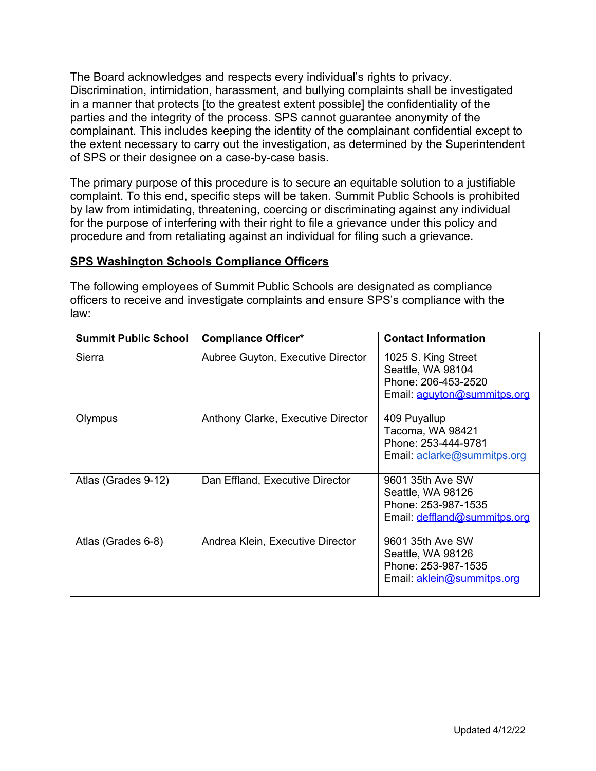The Board acknowledges and respects every individual's rights to privacy. Discrimination, intimidation, harassment, and bullying complaints shall be investigated in a manner that protects [to the greatest extent possible] the confidentiality of the parties and the integrity of the process. SPS cannot guarantee anonymity of the complainant. This includes keeping the identity of the complainant confidential except to the extent necessary to carry out the investigation, as determined by the Superintendent of SPS or their designee on a case-by-case basis.

The primary purpose of this procedure is to secure an equitable solution to a justifiable complaint. To this end, specific steps will be taken. Summit Public Schools is prohibited by law from intimidating, threatening, coercing or discriminating against any individual for the purpose of interfering with their right to file a grievance under this policy and procedure and from retaliating against an individual for filing such a grievance.

# **SPS Washington Schools Compliance Officers**

The following employees of Summit Public Schools are designated as compliance officers to receive and investigate complaints and ensure SPS's compliance with the law:

| <b>Summit Public School</b> | <b>Compliance Officer*</b>         | <b>Contact Information</b>                                                                     |
|-----------------------------|------------------------------------|------------------------------------------------------------------------------------------------|
| Sierra                      | Aubree Guyton, Executive Director  | 1025 S. King Street<br>Seattle, WA 98104<br>Phone: 206-453-2520<br>Email: aguyton@summitps.org |
| Olympus                     | Anthony Clarke, Executive Director | 409 Puyallup<br>Tacoma, WA 98421<br>Phone: 253-444-9781<br>Email: aclarke@summitps.org         |
| Atlas (Grades 9-12)         | Dan Effland, Executive Director    | 9601 35th Ave SW<br>Seattle, WA 98126<br>Phone: 253-987-1535<br>Email: deffland@summitps.org   |
| Atlas (Grades 6-8)          | Andrea Klein, Executive Director   | 9601 35th Ave SW<br>Seattle, WA 98126<br>Phone: 253-987-1535<br>Email: aklein@summitps.org     |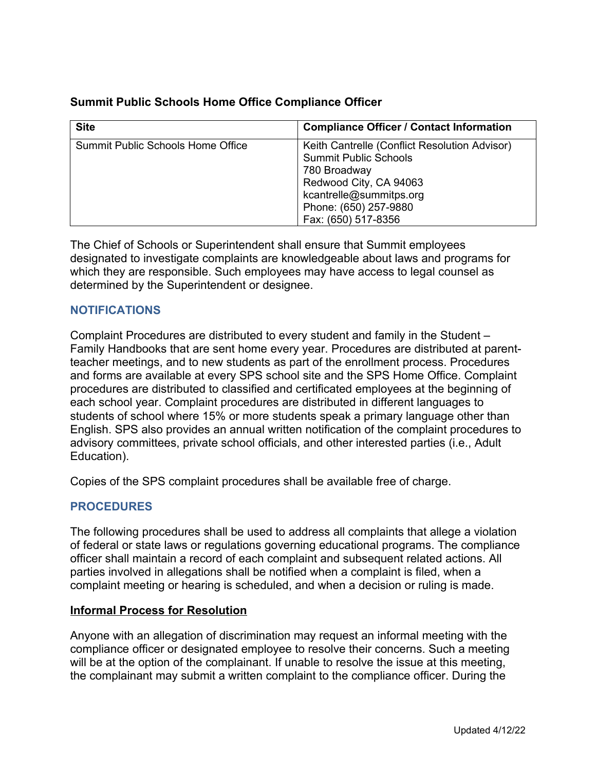# **Summit Public Schools Home Office Compliance Officer**

| <b>Site</b>                       | <b>Compliance Officer / Contact Information</b>                                                                                                                                                    |
|-----------------------------------|----------------------------------------------------------------------------------------------------------------------------------------------------------------------------------------------------|
| Summit Public Schools Home Office | Keith Cantrelle (Conflict Resolution Advisor)<br><b>Summit Public Schools</b><br>780 Broadway<br>Redwood City, CA 94063<br>kcantrelle@summitps.org<br>Phone: (650) 257-9880<br>Fax: (650) 517-8356 |

The Chief of Schools or Superintendent shall ensure that Summit employees designated to investigate complaints are knowledgeable about laws and programs for which they are responsible. Such employees may have access to legal counsel as determined by the Superintendent or designee.

### **NOTIFICATIONS**

Complaint Procedures are distributed to every student and family in the Student – Family Handbooks that are sent home every year. Procedures are distributed at parentteacher meetings, and to new students as part of the enrollment process. Procedures and forms are available at every SPS school site and the SPS Home Office. Complaint procedures are distributed to classified and certificated employees at the beginning of each school year. Complaint procedures are distributed in different languages to students of school where 15% or more students speak a primary language other than English. SPS also provides an annual written notification of the complaint procedures to advisory committees, private school officials, and other interested parties (i.e., Adult Education).

Copies of the SPS complaint procedures shall be available free of charge.

# **PROCEDURES**

The following procedures shall be used to address all complaints that allege a violation of federal or state laws or regulations governing educational programs. The compliance officer shall maintain a record of each complaint and subsequent related actions. All parties involved in allegations shall be notified when a complaint is filed, when a complaint meeting or hearing is scheduled, and when a decision or ruling is made.

### **Informal Process for Resolution**

Anyone with an allegation of discrimination may request an informal meeting with the compliance officer or designated employee to resolve their concerns. Such a meeting will be at the option of the complainant. If unable to resolve the issue at this meeting, the complainant may submit a written complaint to the compliance officer. During the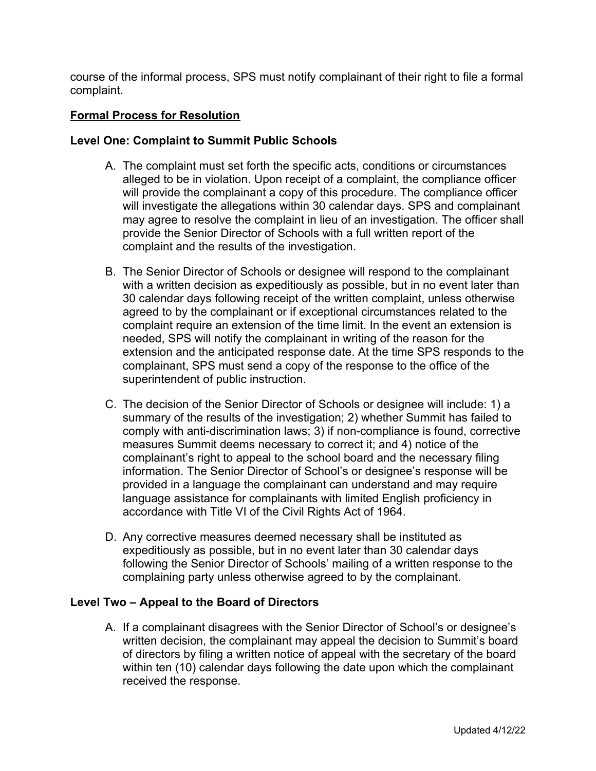course of the informal process, SPS must notify complainant of their right to file a formal complaint.

## **Formal Process for Resolution**

#### **Level One: Complaint to Summit Public Schools**

- A. The complaint must set forth the specific acts, conditions or circumstances alleged to be in violation. Upon receipt of a complaint, the compliance officer will provide the complainant a copy of this procedure. The compliance officer will investigate the allegations within 30 calendar days. SPS and complainant may agree to resolve the complaint in lieu of an investigation. The officer shall provide the Senior Director of Schools with a full written report of the complaint and the results of the investigation.
- B. The Senior Director of Schools or designee will respond to the complainant with a written decision as expeditiously as possible, but in no event later than 30 calendar days following receipt of the written complaint, unless otherwise agreed to by the complainant or if exceptional circumstances related to the complaint require an extension of the time limit. In the event an extension is needed, SPS will notify the complainant in writing of the reason for the extension and the anticipated response date. At the time SPS responds to the complainant, SPS must send a copy of the response to the office of the superintendent of public instruction.
- C. The decision of the Senior Director of Schools or designee will include: 1) a summary of the results of the investigation; 2) whether Summit has failed to comply with anti-discrimination laws; 3) if non-compliance is found, corrective measures Summit deems necessary to correct it; and 4) notice of the complainant's right to appeal to the school board and the necessary filing information. The Senior Director of School's or designee's response will be provided in a language the complainant can understand and may require language assistance for complainants with limited English proficiency in accordance with Title VI of the Civil Rights Act of 1964.
- D. Any corrective measures deemed necessary shall be instituted as expeditiously as possible, but in no event later than 30 calendar days following the Senior Director of Schools' mailing of a written response to the complaining party unless otherwise agreed to by the complainant.

### **Level Two – Appeal to the Board of Directors**

A. If a complainant disagrees with the Senior Director of School's or designee's written decision, the complainant may appeal the decision to Summit's board of directors by filing a written notice of appeal with the secretary of the board within ten (10) calendar days following the date upon which the complainant received the response.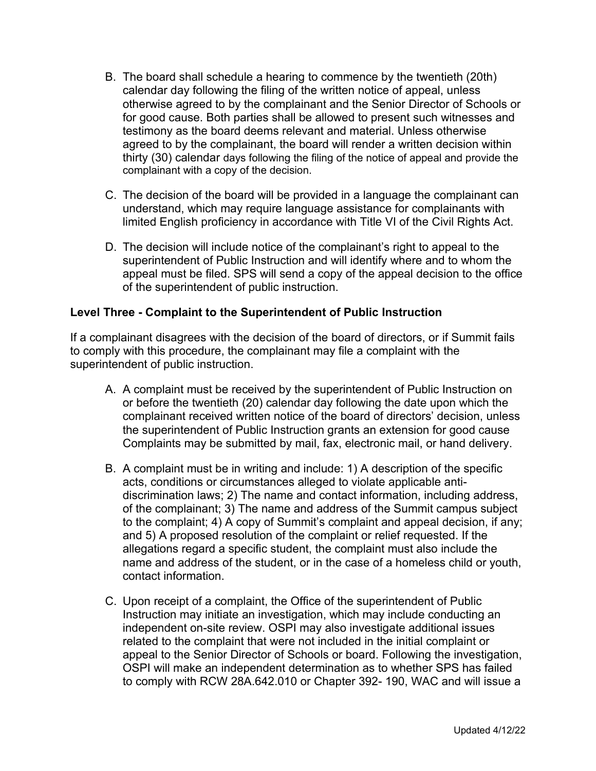- B. The board shall schedule a hearing to commence by the twentieth (20th) calendar day following the filing of the written notice of appeal, unless otherwise agreed to by the complainant and the Senior Director of Schools or for good cause. Both parties shall be allowed to present such witnesses and testimony as the board deems relevant and material. Unless otherwise agreed to by the complainant, the board will render a written decision within thirty (30) calendar days following the filing of the notice of appeal and provide the complainant with a copy of the decision.
- C. The decision of the board will be provided in a language the complainant can understand, which may require language assistance for complainants with limited English proficiency in accordance with Title VI of the Civil Rights Act.
- D. The decision will include notice of the complainant's right to appeal to the superintendent of Public Instruction and will identify where and to whom the appeal must be filed. SPS will send a copy of the appeal decision to the office of the superintendent of public instruction.

## **Level Three - Complaint to the Superintendent of Public Instruction**

If a complainant disagrees with the decision of the board of directors, or if Summit fails to comply with this procedure, the complainant may file a complaint with the superintendent of public instruction.

- A. A complaint must be received by the superintendent of Public Instruction on or before the twentieth (20) calendar day following the date upon which the complainant received written notice of the board of directors' decision, unless the superintendent of Public Instruction grants an extension for good cause Complaints may be submitted by mail, fax, electronic mail, or hand delivery.
- B. A complaint must be in writing and include: 1) A description of the specific acts, conditions or circumstances alleged to violate applicable antidiscrimination laws; 2) The name and contact information, including address, of the complainant; 3) The name and address of the Summit campus subject to the complaint; 4) A copy of Summit's complaint and appeal decision, if any; and 5) A proposed resolution of the complaint or relief requested. If the allegations regard a specific student, the complaint must also include the name and address of the student, or in the case of a homeless child or youth, contact information.
- C. Upon receipt of a complaint, the Office of the superintendent of Public Instruction may initiate an investigation, which may include conducting an independent on-site review. OSPI may also investigate additional issues related to the complaint that were not included in the initial complaint or appeal to the Senior Director of Schools or board. Following the investigation, OSPI will make an independent determination as to whether SPS has failed to comply with RCW 28A.642.010 or Chapter 392- 190, WAC and will issue a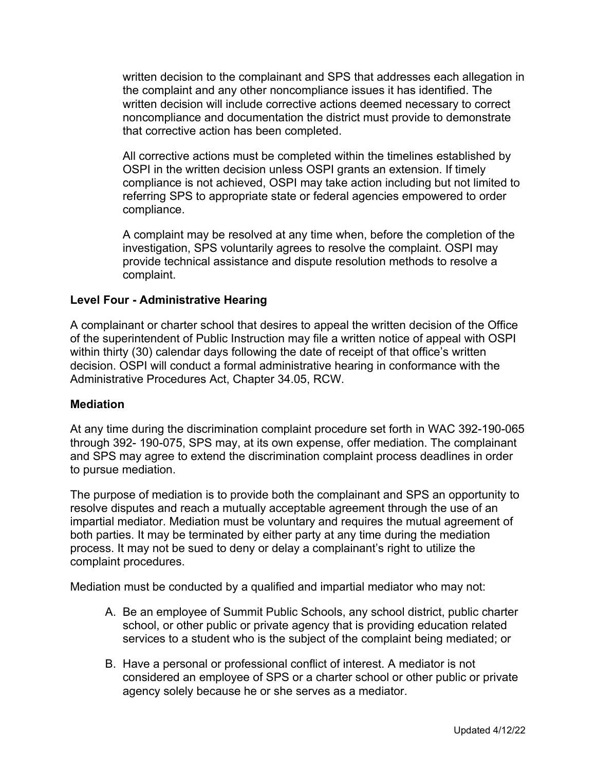written decision to the complainant and SPS that addresses each allegation in the complaint and any other noncompliance issues it has identified. The written decision will include corrective actions deemed necessary to correct noncompliance and documentation the district must provide to demonstrate that corrective action has been completed.

All corrective actions must be completed within the timelines established by OSPI in the written decision unless OSPI grants an extension. If timely compliance is not achieved, OSPI may take action including but not limited to referring SPS to appropriate state or federal agencies empowered to order compliance.

A complaint may be resolved at any time when, before the completion of the investigation, SPS voluntarily agrees to resolve the complaint. OSPI may provide technical assistance and dispute resolution methods to resolve a complaint.

### **Level Four - Administrative Hearing**

A complainant or charter school that desires to appeal the written decision of the Office of the superintendent of Public Instruction may file a written notice of appeal with OSPI within thirty (30) calendar days following the date of receipt of that office's written decision. OSPI will conduct a formal administrative hearing in conformance with the Administrative Procedures Act, Chapter 34.05, RCW.

### **Mediation**

At any time during the discrimination complaint procedure set forth in WAC 392-190-065 through 392- 190-075, SPS may, at its own expense, offer mediation. The complainant and SPS may agree to extend the discrimination complaint process deadlines in order to pursue mediation.

The purpose of mediation is to provide both the complainant and SPS an opportunity to resolve disputes and reach a mutually acceptable agreement through the use of an impartial mediator. Mediation must be voluntary and requires the mutual agreement of both parties. It may be terminated by either party at any time during the mediation process. It may not be sued to deny or delay a complainant's right to utilize the complaint procedures.

Mediation must be conducted by a qualified and impartial mediator who may not:

- A. Be an employee of Summit Public Schools, any school district, public charter school, or other public or private agency that is providing education related services to a student who is the subject of the complaint being mediated; or
- B. Have a personal or professional conflict of interest. A mediator is not considered an employee of SPS or a charter school or other public or private agency solely because he or she serves as a mediator.